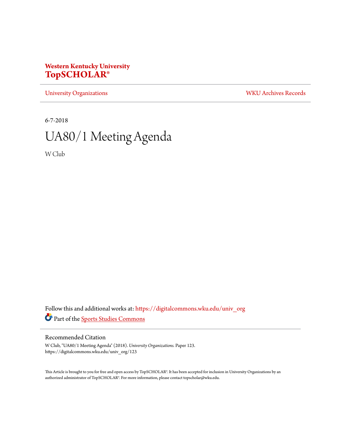## **Western Kentucky University [TopSCHOLAR®](https://digitalcommons.wku.edu?utm_source=digitalcommons.wku.edu%2Funiv_org%2F123&utm_medium=PDF&utm_campaign=PDFCoverPages)**

[University Organizations](https://digitalcommons.wku.edu/univ_org?utm_source=digitalcommons.wku.edu%2Funiv_org%2F123&utm_medium=PDF&utm_campaign=PDFCoverPages) [WKU Archives Records](https://digitalcommons.wku.edu/dlsc_ua_records?utm_source=digitalcommons.wku.edu%2Funiv_org%2F123&utm_medium=PDF&utm_campaign=PDFCoverPages)

6-7-2018

# UA80/1 Meeting Agenda

W Club

Follow this and additional works at: [https://digitalcommons.wku.edu/univ\\_org](https://digitalcommons.wku.edu/univ_org?utm_source=digitalcommons.wku.edu%2Funiv_org%2F123&utm_medium=PDF&utm_campaign=PDFCoverPages) Part of the [Sports Studies Commons](http://network.bepress.com/hgg/discipline/1198?utm_source=digitalcommons.wku.edu%2Funiv_org%2F123&utm_medium=PDF&utm_campaign=PDFCoverPages)

#### Recommended Citation

W Club, "UA80/1 Meeting Agenda" (2018). *University Organizations.* Paper 123. https://digitalcommons.wku.edu/univ\_org/123

This Article is brought to you for free and open access by TopSCHOLAR®. It has been accepted for inclusion in University Organizations by an authorized administrator of TopSCHOLAR®. For more information, please contact topscholar@wku.edu.